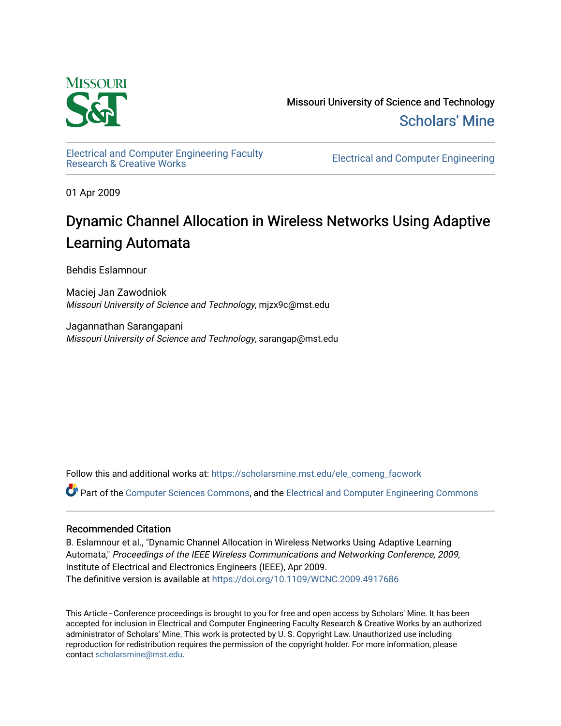

Missouri University of Science and Technology [Scholars' Mine](https://scholarsmine.mst.edu/) 

[Electrical and Computer Engineering Faculty](https://scholarsmine.mst.edu/ele_comeng_facwork)

**Electrical and Computer Engineering** 

01 Apr 2009

# Dynamic Channel Allocation in Wireless Networks Using Adaptive Learning Automata

Behdis Eslamnour

Maciej Jan Zawodniok Missouri University of Science and Technology, mjzx9c@mst.edu

Jagannathan Sarangapani Missouri University of Science and Technology, sarangap@mst.edu

Follow this and additional works at: [https://scholarsmine.mst.edu/ele\\_comeng\\_facwork](https://scholarsmine.mst.edu/ele_comeng_facwork?utm_source=scholarsmine.mst.edu%2Fele_comeng_facwork%2F1562&utm_medium=PDF&utm_campaign=PDFCoverPages)

Part of the [Computer Sciences Commons](http://network.bepress.com/hgg/discipline/142?utm_source=scholarsmine.mst.edu%2Fele_comeng_facwork%2F1562&utm_medium=PDF&utm_campaign=PDFCoverPages), and the [Electrical and Computer Engineering Commons](http://network.bepress.com/hgg/discipline/266?utm_source=scholarsmine.mst.edu%2Fele_comeng_facwork%2F1562&utm_medium=PDF&utm_campaign=PDFCoverPages)

# Recommended Citation

B. Eslamnour et al., "Dynamic Channel Allocation in Wireless Networks Using Adaptive Learning Automata," Proceedings of the IEEE Wireless Communications and Networking Conference, 2009, Institute of Electrical and Electronics Engineers (IEEE), Apr 2009. The definitive version is available at <https://doi.org/10.1109/WCNC.2009.4917686>

This Article - Conference proceedings is brought to you for free and open access by Scholars' Mine. It has been accepted for inclusion in Electrical and Computer Engineering Faculty Research & Creative Works by an authorized administrator of Scholars' Mine. This work is protected by U. S. Copyright Law. Unauthorized use including reproduction for redistribution requires the permission of the copyright holder. For more information, please contact [scholarsmine@mst.edu](mailto:scholarsmine@mst.edu).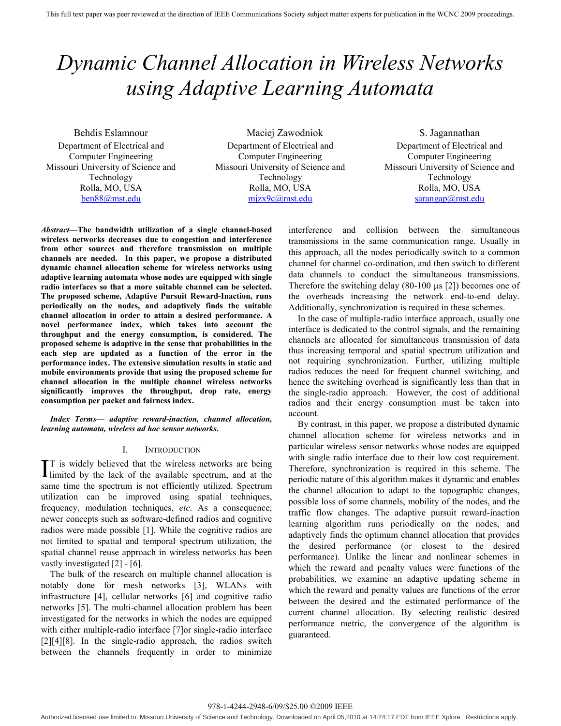# *Dynamic Channel Allocation in Wireless Networks using Adaptive Learning Automata*

Behdis Eslamnour Department of Electrical and Computer Engineering Missouri University of Science and Technology Rolla, MO, USA ben88@mst.edu

Maciej Zawodniok Department of Electrical and Computer Engineering Missouri University of Science and Technology Rolla, MO, USA mjzx9c@mst.edu

S. Jagannathan Department of Electrical and Computer Engineering Missouri University of Science and Technology Rolla, MO, USA sarangap@mst.edu

*Abstract***—The bandwidth utilization of a single channel-based wireless networks decreases due to congestion and interference from other sources and therefore transmission on multiple channels are needed. In this paper, we propose a distributed dynamic channel allocation scheme for wireless networks using adaptive learning automata whose nodes are equipped with single radio interfaces so that a more suitable channel can be selected. The proposed scheme, Adaptive Pursuit Reward-Inaction, runs periodically on the nodes, and adaptively finds the suitable channel allocation in order to attain a desired performance. A novel performance index, which takes into account the throughput and the energy consumption, is considered. The proposed scheme is adaptive in the sense that probabilities in the each step are updated as a function of the error in the performance index. The extensive simulation results in static and mobile environments provide that using the proposed scheme for channel allocation in the multiple channel wireless networks significantly improves the throughput, drop rate, energy consumption per packet and fairness index.** 

*Index Terms***—** *adaptive reward-inaction, channel allocation, learning automata, wireless ad hoc sensor networks***.** 

# I. INTRODUCTION

T is widely believed that the wireless networks are being IT is widely believed that the wireless networks are being<br>limited by the lack of the available spectrum, and at the same time the spectrum is not efficiently utilized. Spectrum utilization can be improved using spatial techniques, frequency, modulation techniques, *etc*. As a consequence, newer concepts such as software-defined radios and cognitive radios were made possible [1]. While the cognitive radios are not limited to spatial and temporal spectrum utilization, the spatial channel reuse approach in wireless networks has been vastly investigated [2] - [6].

The bulk of the research on multiple channel allocation is notably done for mesh networks [3], WLANs with infrastructure [4], cellular networks [6] and cognitive radio networks [5]. The multi-channel allocation problem has been investigated for the networks in which the nodes are equipped with either multiple-radio interface [7]or single-radio interface [2][4][8]. In the single-radio approach, the radios switch between the channels frequently in order to minimize interference and collision between the simultaneous transmissions in the same communication range. Usually in this approach, all the nodes periodically switch to a common channel for channel co-ordination, and then switch to different data channels to conduct the simultaneous transmissions. Therefore the switching delay (80-100 µs [2]) becomes one of the overheads increasing the network end-to-end delay. Additionally, synchronization is required in these schemes.

In the case of multiple-radio interface approach, usually one interface is dedicated to the control signals, and the remaining channels are allocated for simultaneous transmission of data thus increasing temporal and spatial spectrum utilization and not requiring synchronization. Further, utilizing multiple radios reduces the need for frequent channel switching, and hence the switching overhead is significantly less than that in the single-radio approach. However, the cost of additional radios and their energy consumption must be taken into account.

By contrast, in this paper, we propose a distributed dynamic channel allocation scheme for wireless networks and in particular wireless sensor networks whose nodes are equipped with single radio interface due to their low cost requirement. Therefore, synchronization is required in this scheme. The periodic nature of this algorithm makes it dynamic and enables the channel allocation to adapt to the topographic changes, possible loss of some channels, mobility of the nodes, and the traffic flow changes. The adaptive pursuit reward-inaction learning algorithm runs periodically on the nodes, and adaptively finds the optimum channel allocation that provides the desired performance (or closest to the desired performance). Unlike the linear and nonlinear schemes in which the reward and penalty values were functions of the probabilities, we examine an adaptive updating scheme in which the reward and penalty values are functions of the error between the desired and the estimated performance of the current channel allocation. By selecting realistic desired performance metric, the convergence of the algorithm is guaranteed.

978-1-4244-2948-6/09/\$25.00 ©2009 IEEE

Authorized licensed use limited to: Missouri University of Science and Technology. Downloaded on April 05,2010 at 14:24:17 EDT from IEEE Xplore. Restrictions apply.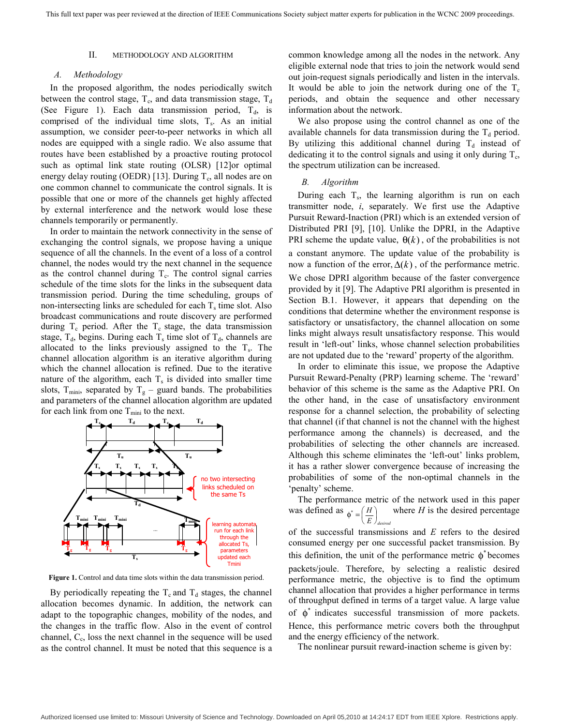# II. METHODOLOGY AND ALGORITHM

# *A. Methodology*

In the proposed algorithm, the nodes periodically switch between the control stage,  $T_c$ , and data transmission stage,  $T_d$ (See Figure 1). Each data transmission period,  $T_d$ , is comprised of the individual time slots,  $T_s$ . As an initial assumption, we consider peer-to-peer networks in which all nodes are equipped with a single radio. We also assume that routes have been established by a proactive routing protocol such as optimal link state routing (OLSR) [12]or optimal energy delay routing (OEDR) [13]. During  $T_c$ , all nodes are on one common channel to communicate the control signals. It is possible that one or more of the channels get highly affected by external interference and the network would lose these channels temporarily or permanently.

In order to maintain the network connectivity in the sense of exchanging the control signals, we propose having a unique sequence of all the channels. In the event of a loss of a control channel, the nodes would try the next channel in the sequence as the control channel during  $T_c$ . The control signal carries schedule of the time slots for the links in the subsequent data transmission period. During the time scheduling, groups of non-intersecting links are scheduled for each  $T_s$  time slot. Also broadcast communications and route discovery are performed during  $T_c$  period. After the  $T_c$  stage, the data transmission stage,  $T_d$ , begins. During each  $T_s$  time slot of  $T_d$ , channels are allocated to the links previously assigned to the  $T_s$ . The channel allocation algorithm is an iterative algorithm during which the channel allocation is refined. Due to the iterative nature of the algorithm, each  $T_s$  is divided into smaller time slots, T<sub>mini</sub>, separated by T<sub>g</sub> – guard bands. The probabilities and parameters of the channel allocation algorithm are updated for each link from one  $T_{\text{min}}$  to the next.



**Figure 1.** Control and data time slots within the data transmission period.

By periodically repeating the  $T_c$  and  $T_d$  stages, the channel allocation becomes dynamic. In addition, the network can adapt to the topographic changes, mobility of the nodes, and the changes in the traffic flow. Also in the event of control channel,  $C_c$ , loss the next channel in the sequence will be used as the control channel. It must be noted that this sequence is a common knowledge among all the nodes in the network. Any eligible external node that tries to join the network would send out join-request signals periodically and listen in the intervals. It would be able to join the network during one of the  $T_c$ periods, and obtain the sequence and other necessary information about the network.

We also propose using the control channel as one of the available channels for data transmission during the  $T_d$  period. By utilizing this additional channel during  $T_d$  instead of dedicating it to the control signals and using it only during  $T_c$ , the spectrum utilization can be increased.

# *B. Algorithm*

During each  $T_s$ , the learning algorithm is run on each transmitter node, *i*, separately. We first use the Adaptive Pursuit Reward-Inaction (PRI) which is an extended version of Distributed PRI [9], [10]. Unlike the DPRI, in the Adaptive PRI scheme the update value,  $\theta(k)$ , of the probabilities is not a constant anymore. The update value of the probability is now a function of the error,  $\Delta(k)$ , of the performance metric. We chose DPRI algorithm because of the faster convergence provided by it [9]. The Adaptive PRI algorithm is presented in Section B.1. However, it appears that depending on the conditions that determine whether the environment response is satisfactory or unsatisfactory, the channel allocation on some links might always result unsatisfactory response. This would result in 'left-out' links, whose channel selection probabilities are not updated due to the 'reward' property of the algorithm.

In order to eliminate this issue, we propose the Adaptive Pursuit Reward-Penalty (PRP) learning scheme. The 'reward' behavior of this scheme is the same as the Adaptive PRI. On the other hand, in the case of unsatisfactory environment response for a channel selection, the probability of selecting that channel (if that channel is not the channel with the highest performance among the channels) is decreased, and the probabilities of selecting the other channels are increased. Although this scheme eliminates the 'left-out' links problem, it has a rather slower convergence because of increasing the probabilities of some of the non-optimal channels in the 'penalty' scheme.

The performance metric of the network used in this paper was defined as  $\phi^* = \left(\frac{H}{F}\right)^2$ *E desired* ⎠ ⎝ where  $H$  is the desired percentage of the successful transmissions and *E* refers to the desired

consumed energy per one successful packet transmission. By this definition, the unit of the performance metric  $\phi^*$  becomes packets/joule. Therefore, by selecting a realistic desired performance metric, the objective is to find the optimum channel allocation that provides a higher performance in terms of throughput defined in terms of a target value. A large value of  $\phi^*$  indicates successful transmission of more packets. Hence, this performance metric covers both the throughput and the energy efficiency of the network.

The nonlinear pursuit reward-inaction scheme is given by: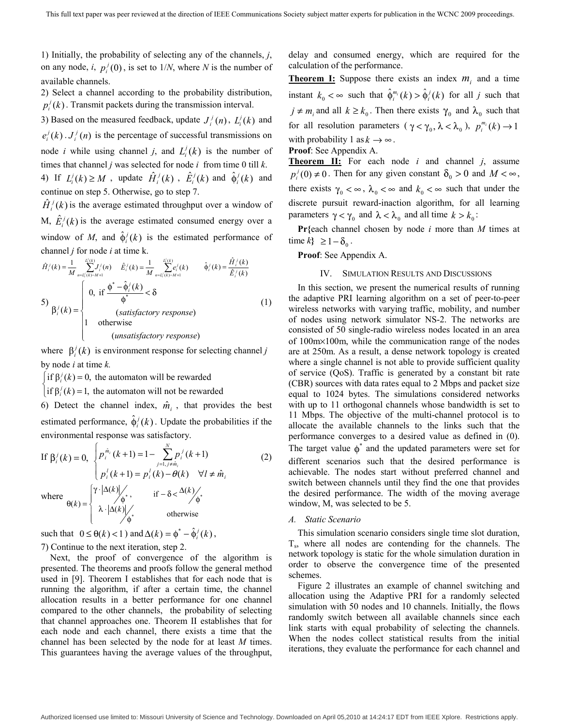1) Initially, the probability of selecting any of the channels, *j*, on any node, *i*,  $p_i^j(0)$ , is set to  $1/N$ , where *N* is the number of available channels.

2) Select a channel according to the probability distribution,  $p_i^j(k)$ . Transmit packets during the transmission interval.

3) Based on the measured feedback, update  $J_i^j(n)$ ,  $L_i^j(k)$  and  $e_i^j(k)$ .  $J_i^j(n)$  is the percentage of successful transmissions on node *i* while using channel *j*, and  $L_i^j(k)$  is the number of times that channel *j* was selected for node  $i$  from time 0 till  $k$ . 4) If  $L_i^j(k) \ge M$ , update  $\hat{H}_i^j(k)$ ,  $\hat{E}_i^j(k)$  and  $\hat{\phi}_i^j(k)$  and continue on step 5. Otherwise, go to step 7.

 $\hat{H}_{i}^{j}(k)$  is the average estimated throughput over a window of M,  $\hat{E}_i^j(k)$  is the average estimated consumed energy over a window of *M*, and  $\hat{\phi}^j$  (*k*) is the estimated performance of channel *j* for node *i* at time k.

$$
\hat{H}_{i}^j(k) = \frac{1}{M} \sum_{n=L_i^j(k)-M+1}^{L_i^j(k)} J_i^j(n) \quad \hat{E}_i^j(k) = \frac{1}{M} \sum_{n=L_i^j(k)-M+1}^{L_i^j(k)} \hat{\varphi}_i^j(k) = \frac{\hat{H}_i^j(k)}{\hat{E}_i^j(k)}
$$
\n
$$
\hat{\varphi}_i^j(k) = \begin{cases}\n0, & \text{if } \frac{\hat{\varphi}^* - \hat{\varphi}_i^j(k)}{\hat{\varphi}^*} < \delta \\
0, & \text{if } \frac{\hat{\varphi}^* - \hat{\varphi}_i^j(k)}{\hat{\varphi}^*} < \delta \\
1 & \text{otherwise}\n\end{cases} \tag{1}
$$

where  $\beta_i^j(k)$  is environment response for selecting channel *j* by node *i* at time *k.*

 $\int$  if  $\beta_i^j(k) = 0$ , the automaton will be rewarded

 $\int$ *if*  $\beta_i^j(k) = 1$ , the automaton will not be rewarded

6) Detect the channel index,  $\hat{m}_i$ , that provides the best estimated performance,  $\hat{\phi}_i^j(k)$ . Update the probabilities if the environmental response was satisfactory.

If 
$$
\beta_i^j(k) = 0
$$
,  $\begin{cases} p_i^{\hat{m}_i}(k+1) = 1 - \sum_{j=1, j \neq \hat{m}_i}^N p_i^j(k+1) \\ p_i^j(k+1) = p_i^j(k) - \theta(k) \quad \forall l \neq \hat{m}_i \end{cases}$   
where  $\theta(k) = \begin{cases} \gamma \cdot |\Delta(k)| \\ \lambda \cdot |\Delta(k)| \\ \phi^*, \end{cases}$  if  $-\delta < \frac{\Delta(k)}{\phi^*}$ 

such that  $0 \le \theta(k) < 1$  and  $\Delta(k) = \phi^* - \hat{\phi}_k^j(k)$ , 7) Continue to the next iteration, step 2.

Next, the proof of convergence of the algorithm is presented. The theorems and proofs follow the general method used in [9]. Theorem I establishes that for each node that is running the algorithm, if after a certain time, the channel allocation results in a better performance for one channel compared to the other channels, the probability of selecting that channel approaches one. Theorem II establishes that for each node and each channel, there exists a time that the channel has been selected by the node for at least *M* times. This guarantees having the average values of the throughput, delay and consumed energy, which are required for the calculation of the performance.

**Theorem I:** Suppose there exists an index  $m_i$  and a time instant  $k_0 < \infty$  such that  $\hat{\phi}_i^{m_i}(k) > \hat{\phi}_i^{j}(k)$  for all *j* such that  $j \neq m_i$  and all  $k \geq k_0$ . Then there exists  $\gamma_0$  and  $\lambda_0$  such that for all resolution parameters ( $\gamma < \gamma_0$ ,  $\lambda < \lambda_0$ ),  $p_i^{m_i}(k) \rightarrow 1$ with probability 1 as  $k \to \infty$ .

**Proof**: See Appendix A.

**Theorem II:** For each node *i* and channel *j*, assume  $p_i^j(0) \neq 0$ . Then for any given constant  $\delta_0 > 0$  and  $M < \infty$ , there exists  $\gamma_0 < \infty$ ,  $\lambda_0 < \infty$  and  $k_0 < \infty$  such that under the discrete pursuit reward-inaction algorithm, for all learning parameters  $\gamma < \gamma_0$  and  $\lambda < \lambda_0$  and all time  $k > k_0$ :

**Pr{**each channel chosen by node *i* more than *M* times at time  $k$ **}** ≥ 1 − δ<sub>0</sub>.

**Proof**: See Appendix A.

# IV. SIMULATION RESULTS AND DISCUSSIONS

In this section, we present the numerical results of running the adaptive PRI learning algorithm on a set of peer-to-peer wireless networks with varying traffic, mobility, and number of nodes using network simulator NS-2. The networks are consisted of 50 single-radio wireless nodes located in an area of 100m×100m, while the communication range of the nodes are at 250m. As a result, a dense network topology is created where a single channel is not able to provide sufficient quality of service (QoS). Traffic is generated by a constant bit rate (CBR) sources with data rates equal to 2 Mbps and packet size equal to 1024 bytes. The simulations considered networks with up to 11 orthogonal channels whose bandwidth is set to 11 Mbps. The objective of the multi-channel protocol is to allocate the available channels to the links such that the performance converges to a desired value as defined in (0). The target value  $\phi^*$  and the updated parameters were set for different scenarios such that the desired performance is achievable. The nodes start without preferred channel and switch between channels until they find the one that provides the desired performance. The width of the moving average window, M, was selected to be 5.

#### *A. Static Scenario*

This simulation scenario considers single time slot duration, Ts, where all nodes are contending for the channels. The network topology is static for the whole simulation duration in order to observe the convergence time of the presented schemes.

Figure 2 illustrates an example of channel switching and allocation using the Adaptive PRI for a randomly selected simulation with 50 nodes and 10 channels. Initially, the flows randomly switch between all available channels since each link starts with equal probability of selecting the channels. When the nodes collect statistical results from the initial iterations, they evaluate the performance for each channel and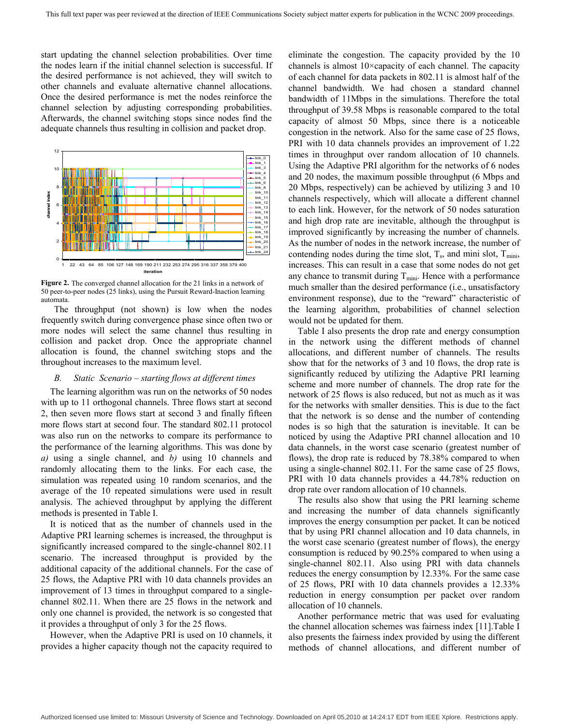start updating the channel selection probabilities. Over time the nodes learn if the initial channel selection is successful. If the desired performance is not achieved, they will switch to other channels and evaluate alternative channel allocations. Once the desired performance is met the nodes reinforce the channel selection by adjusting corresponding probabilities. Afterwards, the channel switching stops since nodes find the adequate channels thus resulting in collision and packet drop.



**Figure 2.** The converged channel allocation for the 21 links in a network of 50 peer-to-peer nodes (25 links), using the Pursuit Reward-Inaction learning automata.

The throughput (not shown) is low when the nodes frequently switch during convergence phase since often two or more nodes will select the same channel thus resulting in collision and packet drop. Once the appropriate channel allocation is found, the channel switching stops and the throughout increases to the maximum level.

# *B. Static Scenario – starting flows at different times*

The learning algorithm was run on the networks of 50 nodes with up to 11 orthogonal channels. Three flows start at second 2, then seven more flows start at second 3 and finally fifteen more flows start at second four. The standard 802.11 protocol was also run on the networks to compare its performance to the performance of the learning algorithms. This was done by *a)* using a single channel, and *b)* using 10 channels and randomly allocating them to the links. For each case, the simulation was repeated using 10 random scenarios, and the average of the 10 repeated simulations were used in result analysis. The achieved throughput by applying the different methods is presented in Table I.

It is noticed that as the number of channels used in the Adaptive PRI learning schemes is increased, the throughput is significantly increased compared to the single-channel 802.11 scenario. The increased throughput is provided by the additional capacity of the additional channels. For the case of 25 flows, the Adaptive PRI with 10 data channels provides an improvement of 13 times in throughput compared to a singlechannel 802.11. When there are 25 flows in the network and only one channel is provided, the network is so congested that it provides a throughput of only 3 for the 25 flows.

However, when the Adaptive PRI is used on 10 channels, it provides a higher capacity though not the capacity required to eliminate the congestion. The capacity provided by the 10 channels is almost 10×capacity of each channel. The capacity of each channel for data packets in 802.11 is almost half of the channel bandwidth. We had chosen a standard channel bandwidth of 11Mbps in the simulations. Therefore the total throughput of 39.58 Mbps is reasonable compared to the total capacity of almost 50 Mbps, since there is a noticeable congestion in the network. Also for the same case of 25 flows, PRI with 10 data channels provides an improvement of 1.22 times in throughput over random allocation of 10 channels. Using the Adaptive PRI algorithm for the networks of 6 nodes and 20 nodes, the maximum possible throughput (6 Mbps and 20 Mbps, respectively) can be achieved by utilizing 3 and 10 channels respectively, which will allocate a different channel to each link. However, for the network of 50 nodes saturation and high drop rate are inevitable, although the throughput is improved significantly by increasing the number of channels. As the number of nodes in the network increase, the number of contending nodes during the time slot,  $T_s$ , and mini slot,  $T_{\text{min}}$ , increases. This can result in a case that some nodes do not get any chance to transmit during  $T_{\text{min}}$ . Hence with a performance much smaller than the desired performance (i.e., unsatisfactory environment response), due to the "reward" characteristic of the learning algorithm, probabilities of channel selection would not be updated for them.

Table I also presents the drop rate and energy consumption in the network using the different methods of channel allocations, and different number of channels. The results show that for the networks of 3 and 10 flows, the drop rate is significantly reduced by utilizing the Adaptive PRI learning scheme and more number of channels. The drop rate for the network of 25 flows is also reduced, but not as much as it was for the networks with smaller densities. This is due to the fact that the network is so dense and the number of contending nodes is so high that the saturation is inevitable. It can be noticed by using the Adaptive PRI channel allocation and 10 data channels, in the worst case scenario (greatest number of flows), the drop rate is reduced by 78.38% compared to when using a single-channel 802.11. For the same case of 25 flows, PRI with 10 data channels provides a 44.78% reduction on drop rate over random allocation of 10 channels.

The results also show that using the PRI learning scheme and increasing the number of data channels significantly improves the energy consumption per packet. It can be noticed that by using PRI channel allocation and 10 data channels, in the worst case scenario (greatest number of flows), the energy consumption is reduced by 90.25% compared to when using a single-channel 802.11. Also using PRI with data channels reduces the energy consumption by 12.33%. For the same case of 25 flows, PRI with 10 data channels provides a 12.33% reduction in energy consumption per packet over random allocation of 10 channels.

Another performance metric that was used for evaluating the channel allocation schemes was fairness index [11].Table I also presents the fairness index provided by using the different methods of channel allocations, and different number of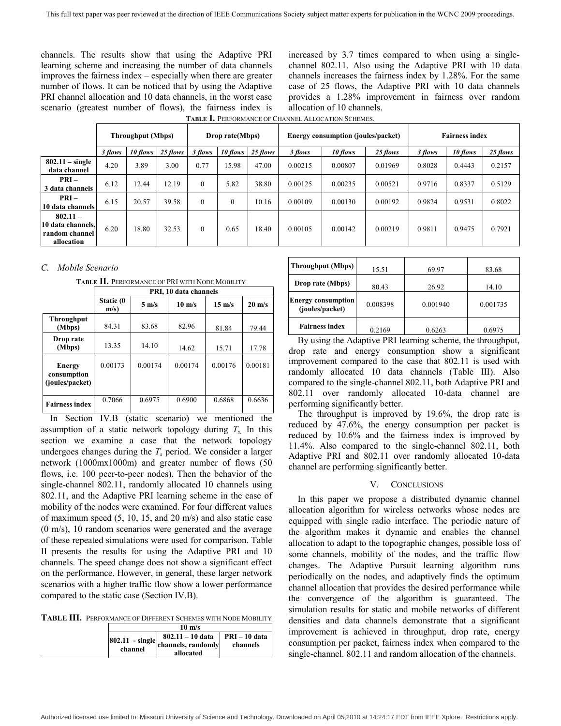channels. The results show that using the Adaptive PRI learning scheme and increasing the number of data channels improves the fairness index – especially when there are greater number of flows. It can be noticed that by using the Adaptive PRI channel allocation and 10 data channels, in the worst case scenario (greatest number of flows), the fairness index is increased by 3.7 times compared to when using a singlechannel 802.11. Also using the Adaptive PRI with 10 data channels increases the fairness index by 1.28%. For the same case of 25 flows, the Adaptive PRI with 10 data channels provides a 1.28% improvement in fairness over random allocation of 10 channels.

| TABLE I. PERFORMANCE OF CHANNEL ALLOCATION SCHEMES. |  |
|-----------------------------------------------------|--|
|                                                     |  |

|                                                                 | <b>Throughput (Mbps)</b><br>Drop rate(Mbps) |          |          | <b>Energy consumption (joules/packet)</b> |          |          | <b>Fairness index</b> |          |          |         |          |          |
|-----------------------------------------------------------------|---------------------------------------------|----------|----------|-------------------------------------------|----------|----------|-----------------------|----------|----------|---------|----------|----------|
|                                                                 | 3 flows                                     | 10 flows | 25 flows | 3 flows                                   | 10 flows | 25 flows | 3 flows               | 10 flows | 25 flows | 3 flows | 10 flows | 25 flows |
| $802.11 - single$<br>data channel                               | 4.20                                        | 3.89     | 3.00     | 0.77                                      | 15.98    | 47.00    | 0.00215               | 0.00807  | 0.01969  | 0.8028  | 0.4443   | 0.2157   |
| $PRI -$<br>3 data channels                                      | 6.12                                        | 12.44    | 12.19    | $\Omega$                                  | 5.82     | 38.80    | 0.00125               | 0.00235  | 0.00521  | 0.9716  | 0.8337   | 0.5129   |
| $PRI -$<br>10 data channels                                     | 6.15                                        | 20.57    | 39.58    | $\theta$                                  | 0        | 10.16    | 0.00109               | 0.00130  | 0.00192  | 0.9824  | 0.9531   | 0.8022   |
| $802.11 -$<br>10 data channels.<br>random channel<br>allocation | 6.20                                        | 18.80    | 32.53    | $\theta$                                  | 0.65     | 18.40    | 0.00105               | 0.00142  | 0.00219  | 0.9811  | 0.9475   | 0.7921   |

# *C. Mobile Scenario*

**TABLE II.** PERFORMANCE OF PRI WITH NODE MOBILITY

|                                          | PRI, 10 data channels |                 |                  |                  |                  |  |
|------------------------------------------|-----------------------|-----------------|------------------|------------------|------------------|--|
|                                          | Static (0<br>$m/s$ )  | $5 \text{ m/s}$ | $10 \text{ m/s}$ | $15 \text{ m/s}$ | $20 \text{ m/s}$ |  |
| <b>Throughput</b><br>(Mbps)              | 84.31                 | 83.68           | 82.96            | 81.84            | 79.44            |  |
| Drop rate<br>(Mbps)                      | 13.35                 | 14.10           | 14.62            | 15.71            | 17.78            |  |
| Energy<br>consumption<br>(joules/packet) | 0.00173               | 0.00174         | 0.00174          | 0.00176          | 0.00181          |  |
| <b>Fairness index</b>                    | 0.7066                | 0.6975          | 0.6900           | 0.6868           | 0.6636           |  |

In Section IV.B (static scenario) we mentioned the assumption of a static network topology during  $T_s$ . In this section we examine a case that the network topology undergoes changes during the  $T<sub>s</sub>$  period. We consider a larger network (1000mx1000m) and greater number of flows (50 flows, i.e. 100 peer-to-peer nodes). Then the behavior of the single-channel 802.11, randomly allocated 10 channels using 802.11, and the Adaptive PRI learning scheme in the case of mobility of the nodes were examined. For four different values of maximum speed (5, 10, 15, and 20 m/s) and also static case (0 m/s), 10 random scenarios were generated and the average of these repeated simulations were used for comparison. Table II presents the results for using the Adaptive PRI and 10 channels. The speed change does not show a significant effect on the performance. However, in general, these larger network scenarios with a higher traffic flow show a lower performance compared to the static case (Section IV.B).

**TABLE III.** PERFORMANCE OF DIFFERENT SCHEMES WITH NODE MOBILITY

|         | $10 \text{ m/s}$                                                          |                           |
|---------|---------------------------------------------------------------------------|---------------------------|
| channel | $802.11 - 10$ data<br>$ 802.11 - single $ channels, randomly<br>allocated | PRI – 10 data<br>channels |

| <b>Throughput (Mbps)</b>                     | 15.51    | 69.97    | 83.68    |
|----------------------------------------------|----------|----------|----------|
| Drop rate (Mbps)                             | 80.43    | 26.92    | 14.10    |
| <b>Energy consumption</b><br>(joules/packet) | 0.008398 | 0.001940 | 0.001735 |
| <b>Fairness index</b>                        | 0.2169   | 0.6263   | 0.6975   |

By using the Adaptive PRI learning scheme, the throughput, drop rate and energy consumption show a significant improvement compared to the case that 802.11 is used with randomly allocated 10 data channels (Table III). Also compared to the single-channel 802.11, both Adaptive PRI and 802.11 over randomly allocated 10-data channel are performing significantly better.

The throughput is improved by 19.6%, the drop rate is reduced by 47.6%, the energy consumption per packet is reduced by 10.6% and the fairness index is improved by 11.4%. Also compared to the single-channel 802.11, both Adaptive PRI and 802.11 over randomly allocated 10-data channel are performing significantly better.

# V. CONCLUSIONS

In this paper we propose a distributed dynamic channel allocation algorithm for wireless networks whose nodes are equipped with single radio interface. The periodic nature of the algorithm makes it dynamic and enables the channel allocation to adapt to the topographic changes, possible loss of some channels, mobility of the nodes, and the traffic flow changes. The Adaptive Pursuit learning algorithm runs periodically on the nodes, and adaptively finds the optimum channel allocation that provides the desired performance while the convergence of the algorithm is guaranteed. The simulation results for static and mobile networks of different densities and data channels demonstrate that a significant improvement is achieved in throughput, drop rate, energy consumption per packet, fairness index when compared to the single-channel. 802.11 and random allocation of the channels.